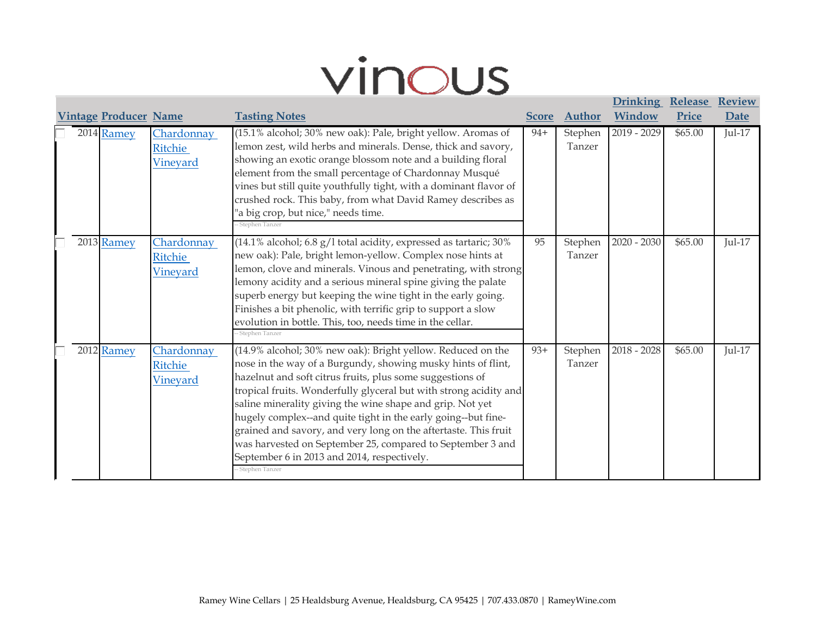## vinous

**[Drinking](http://vinous.com/wines?commit=Search&q=Chardonnay+Ritchie+Vineyard&sort%5Bdirection%5D=asc&sort%5Bname%5D=drinking+window&utf8=%E2%9C%93&wf_dirty=false&wf_export_fields=&wf_export_format=&wf_id=&wf_match=all&wf_model=Wine&wf_name=&wf_order=vintage&wf_order_type=desc&wf_page=1&wf_per_page=25&wf_submitted=true&wf_type=WillFilter%3A%3AFilter&wine_filter%5Barticle_id%5D=1689&wine_filter%5Bauthor%5D=&wine_filter%5Bcolor%5D=&wine_filter%5Bcountry%5D=&wine_filter%5Bprice_range_max%5D=&wine_filter%5Bprice_range_min%5D=&wine_filter%5Bproducer_id%5D=&wine_filter%5Breview_date_year_range_max%5D=&wine_filter%5Breview_date_year_range_min%5D=&wine_filter%5Bscore_range_max%5D=&wine_filter%5Bscore_range_min%5D=&wine_filter%5Bvintage_range_max%5D=&wine_filter%5Bvintage_range_min%5D=)** 

**[Review](http://vinous.com/wines?commit=Search&q=Chardonnay+Ritchie+Vineyard&sort%5Bdirection%5D=asc&sort%5Bname%5D=review+date&utf8=%E2%9C%93&wf_dirty=false&wf_export_fields=&wf_export_format=&wf_id=&wf_match=all&wf_model=Wine&wf_name=&wf_order=vintage&wf_order_type=desc&wf_page=1&wf_per_page=25&wf_submitted=true&wf_type=WillFilter%3A%3AFilter&wine_filter%5Barticle_id%5D=1689&wine_filter%5Bauthor%5D=&wine_filter%5Bcolor%5D=&wine_filter%5Bcountry%5D=&wine_filter%5Bprice_range_max%5D=&wine_filter%5Bprice_range_min%5D=&wine_filter%5Bproducer_id%5D=&wine_filter%5Breview_date_year_range_max%5D=&wine_filter%5Breview_date_year_range_min%5D=&wine_filter%5Bscore_range_max%5D=&wine_filter%5Bscore_range_min%5D=&wine_filter%5Bvintage_range_max%5D=&wine_filter%5Bvintage_range_min%5D=)** 

|  |                              |                                                 |                                                                                                                                                                                                                                                                                                                                                                                                                                                                                                                                                                                                 |              |                   | <b>Drinking Release</b> |         | <b>Review</b> |
|--|------------------------------|-------------------------------------------------|-------------------------------------------------------------------------------------------------------------------------------------------------------------------------------------------------------------------------------------------------------------------------------------------------------------------------------------------------------------------------------------------------------------------------------------------------------------------------------------------------------------------------------------------------------------------------------------------------|--------------|-------------------|-------------------------|---------|---------------|
|  | <b>Vintage Producer Name</b> |                                                 | <b>Tasting Notes</b>                                                                                                                                                                                                                                                                                                                                                                                                                                                                                                                                                                            | <b>Score</b> | <b>Author</b>     | Window                  | Price   | Date          |
|  | 2014 Ramey                   | Chardonnay<br><b>Ritchie</b><br><u>Vineyard</u> | (15.1% alcohol; 30% new oak): Pale, bright yellow. Aromas of<br>lemon zest, wild herbs and minerals. Dense, thick and savory,<br>showing an exotic orange blossom note and a building floral<br>element from the small percentage of Chardonnay Musqué<br>vines but still quite youthfully tight, with a dominant flavor of<br>crushed rock. This baby, from what David Ramey describes as<br>"a big crop, but nice," needs time.<br>- Stephen Tanzer                                                                                                                                           | $94+$        | Stephen<br>Tanzer | $2019 - 2029$           | \$65.00 | $Jul-17$      |
|  | 2013 Ramey                   | Chardonnay<br>Ritchie<br>Vineyard               | (14.1% alcohol; 6.8 g/l total acidity, expressed as tartaric; 30%<br>new oak): Pale, bright lemon-yellow. Complex nose hints at<br>lemon, clove and minerals. Vinous and penetrating, with strong<br>lemony acidity and a serious mineral spine giving the palate<br>superb energy but keeping the wine tight in the early going.<br>Finishes a bit phenolic, with terrific grip to support a slow<br>evolution in bottle. This, too, needs time in the cellar.<br>- Stephen Tanzer                                                                                                             | 95           | Stephen<br>Tanzer | $2020 - 2030$           | \$65.00 | <b>Jul-17</b> |
|  | 2012 Ramey                   | Chardonnay<br>Ritchie<br><b>Vineyard</b>        | (14.9% alcohol; 30% new oak): Bright yellow. Reduced on the<br>nose in the way of a Burgundy, showing musky hints of flint,<br>hazelnut and soft citrus fruits, plus some suggestions of<br>tropical fruits. Wonderfully glyceral but with strong acidity and<br>saline minerality giving the wine shape and grip. Not yet<br>hugely complex--and quite tight in the early going--but fine-<br>grained and savory, and very long on the aftertaste. This fruit<br>was harvested on September 25, compared to September 3 and<br>September 6 in 2013 and 2014, respectively.<br>- Stephen Tanzer | $93+$        | Stephen<br>Tanzer | $2018 - 2028$           | \$65.00 | $Jul-17$      |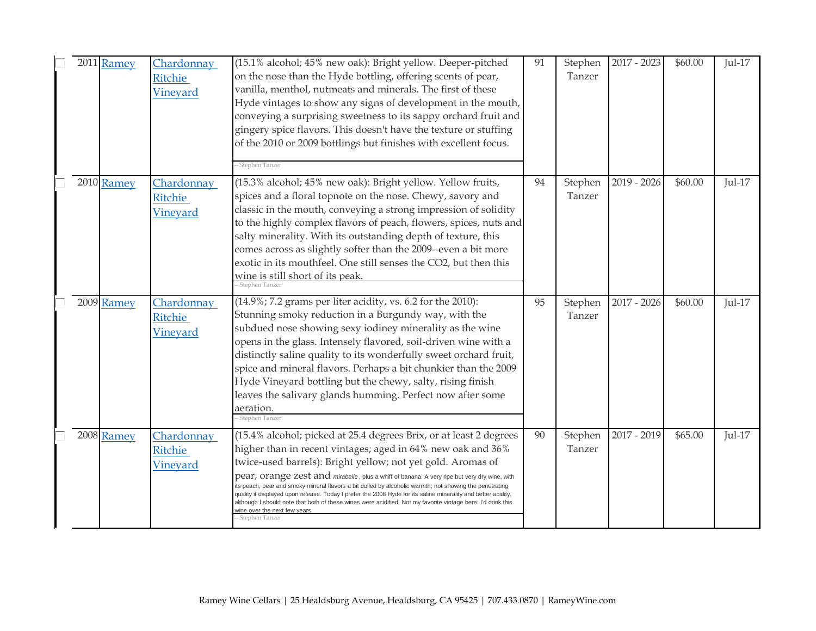| 2011 Ramey | Chardonnay<br><b>Ritchie</b><br>Vineyard | (15.1% alcohol; 45% new oak): Bright yellow. Deeper-pitched<br>on the nose than the Hyde bottling, offering scents of pear,<br>vanilla, menthol, nutmeats and minerals. The first of these<br>Hyde vintages to show any signs of development in the mouth,<br>conveying a surprising sweetness to its sappy orchard fruit and<br>gingery spice flavors. This doesn't have the texture or stuffing<br>of the 2010 or 2009 bottlings but finishes with excellent focus.<br>- Stephen Tanzer                                                                                                                                                                                                        | 91 | Stephen<br>Tanzer | $2017 - 2023$ | \$60.00 | $Jul-17$      |
|------------|------------------------------------------|--------------------------------------------------------------------------------------------------------------------------------------------------------------------------------------------------------------------------------------------------------------------------------------------------------------------------------------------------------------------------------------------------------------------------------------------------------------------------------------------------------------------------------------------------------------------------------------------------------------------------------------------------------------------------------------------------|----|-------------------|---------------|---------|---------------|
| 2010 Ramey | Chardonnay<br><b>Ritchie</b><br>Vineyard | (15.3% alcohol; 45% new oak): Bright yellow. Yellow fruits,<br>spices and a floral topnote on the nose. Chewy, savory and<br>classic in the mouth, conveying a strong impression of solidity<br>to the highly complex flavors of peach, flowers, spices, nuts and<br>salty minerality. With its outstanding depth of texture, this<br>comes across as slightly softer than the 2009--even a bit more<br>exotic in its mouthfeel. One still senses the CO2, but then this<br>wine is still short of its peak.<br>- Stephen Tanzer                                                                                                                                                                 | 94 | Stephen<br>Tanzer | $2019 - 2026$ | \$60.00 | $Jul-17$      |
| 2009 Ramey | Chardonnay<br><b>Ritchie</b><br>Vineyard | $(14.9\%; 7.2 \text{ grams per liter acidity, vs. 6.2 for the 2010):}$<br>Stunning smoky reduction in a Burgundy way, with the<br>subdued nose showing sexy iodiney minerality as the wine<br>opens in the glass. Intensely flavored, soil-driven wine with a<br>distinctly saline quality to its wonderfully sweet orchard fruit,<br>spice and mineral flavors. Perhaps a bit chunkier than the 2009<br>Hyde Vineyard bottling but the chewy, salty, rising finish<br>leaves the salivary glands humming. Perfect now after some<br>aeration.<br>- Stephen Tanzer                                                                                                                               | 95 | Stephen<br>Tanzer | $2017 - 2026$ | \$60.00 | <b>Jul-17</b> |
| 2008 Ramey | Chardonnay<br>Ritchie<br>Vineyard        | (15.4% alcohol; picked at 25.4 degrees Brix, or at least 2 degrees<br>higher than in recent vintages; aged in 64% new oak and 36%<br>twice-used barrels): Bright yellow; not yet gold. Aromas of<br>pear, orange zest and mirabelle, plus a whiff of banana. A very ripe but very dry wine, with<br>its peach, pear and smoky mineral flavors a bit dulled by alcoholic warmth; not showing the penetrating<br>quality it displayed upon release. Today I prefer the 2008 Hyde for its saline minerality and better acidity,<br>although I should note that both of these wines were acidified. Not my favorite vintage here: I'd drink this<br>wine over the next few years<br>- Stephen Tanzer | 90 | Stephen<br>Tanzer | $2017 - 2019$ | \$65.00 | $Jul-17$      |